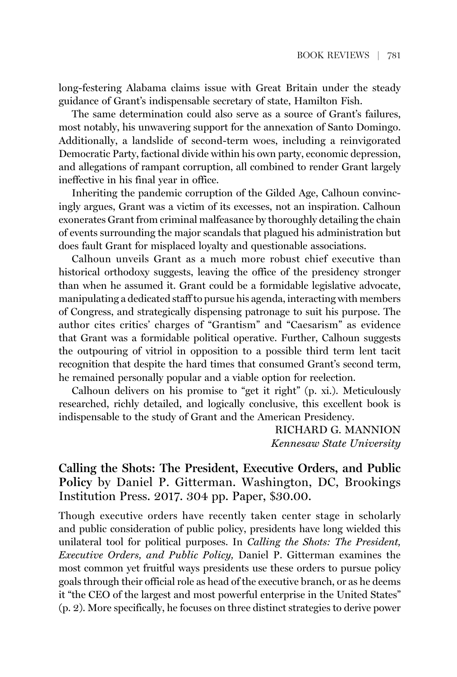long-festering Alabama claims issue with Great Britain under the steady guidance of Grant's indispensable secretary of state, Hamilton Fish.

The same determination could also serve as a source of Grant's failures, most notably, his unwavering support for the annexation of Santo Domingo. Additionally, a landslide of second-term woes, including a reinvigorated Democratic Party, factional divide within his own party, economic depression, and allegations of rampant corruption, all combined to render Grant largely ineffective in his final year in office.

Inheriting the pandemic corruption of the Gilded Age, Calhoun convincingly argues, Grant was a victim of its excesses, not an inspiration. Calhoun exonerates Grant from criminal malfeasance by thoroughly detailing the chain of events surrounding the major scandals that plagued his administration but does fault Grant for misplaced loyalty and questionable associations.

Calhoun unveils Grant as a much more robust chief executive than historical orthodoxy suggests, leaving the office of the presidency stronger than when he assumed it. Grant could be a formidable legislative advocate, manipulating a dedicated staff to pursue his agenda, interacting with members of Congress, and strategically dispensing patronage to suit his purpose. The author cites critics' charges of "Grantism" and "Caesarism" as evidence that Grant was a formidable political operative. Further, Calhoun suggests the outpouring of vitriol in opposition to a possible third term lent tacit recognition that despite the hard times that consumed Grant's second term, he remained personally popular and a viable option for reelection.

Calhoun delivers on his promise to "get it right" (p. xi.). Meticulously researched, richly detailed, and logically conclusive, this excellent book is indispensable to the study of Grant and the American Presidency.

> RICHARD G. MANNION Kennesaw State University

## Calling the Shots: The President, Executive Orders, and Public Policy by Daniel P. Gitterman. Washington, DC, Brookings Institution Press. 2017. 304 pp. Paper, \$30.00.

Though executive orders have recently taken center stage in scholarly and public consideration of public policy, presidents have long wielded this unilateral tool for political purposes. In Calling the Shots: The President, Executive Orders, and Public Policy, Daniel P. Gitterman examines the most common yet fruitful ways presidents use these orders to pursue policy goals through their official role as head of the executive branch, or as he deems it "the CEO of the largest and most powerful enterprise in the United States" (p. 2). More specifically, he focuses on three distinct strategies to derive power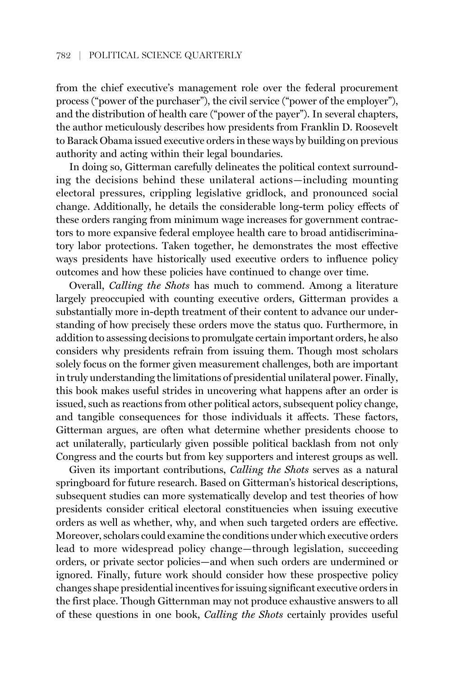from the chief executive's management role over the federal procurement process ("power of the purchaser"), the civil service ("power of the employer"), and the distribution of health care ("power of the payer"). In several chapters, the author meticulously describes how presidents from Franklin D. Roosevelt to Barack Obama issued executive orders in these ways by building on previous authority and acting within their legal boundaries.

In doing so, Gitterman carefully delineates the political context surrounding the decisions behind these unilateral actions—including mounting electoral pressures, crippling legislative gridlock, and pronounced social change. Additionally, he details the considerable long-term policy effects of these orders ranging from minimum wage increases for government contractors to more expansive federal employee health care to broad antidiscriminatory labor protections. Taken together, he demonstrates the most effective ways presidents have historically used executive orders to influence policy outcomes and how these policies have continued to change over time.

Overall, Calling the Shots has much to commend. Among a literature largely preoccupied with counting executive orders, Gitterman provides a substantially more in-depth treatment of their content to advance our understanding of how precisely these orders move the status quo. Furthermore, in addition to assessing decisions to promulgate certain important orders, he also considers why presidents refrain from issuing them. Though most scholars solely focus on the former given measurement challenges, both are important in truly understanding the limitations of presidential unilateral power. Finally, this book makes useful strides in uncovering what happens after an order is issued, such as reactions from other political actors, subsequent policy change, and tangible consequences for those individuals it affects. These factors, Gitterman argues, are often what determine whether presidents choose to act unilaterally, particularly given possible political backlash from not only Congress and the courts but from key supporters and interest groups as well.

Given its important contributions, Calling the Shots serves as a natural springboard for future research. Based on Gitterman's historical descriptions, subsequent studies can more systematically develop and test theories of how presidents consider critical electoral constituencies when issuing executive orders as well as whether, why, and when such targeted orders are effective. Moreover, scholars could examine the conditions under which executive orders lead to more widespread policy change—through legislation, succeeding orders, or private sector policies—and when such orders are undermined or ignored. Finally, future work should consider how these prospective policy changes shape presidential incentives for issuing significant executive orders in the first place. Though Gitternman may not produce exhaustive answers to all of these questions in one book, Calling the Shots certainly provides useful